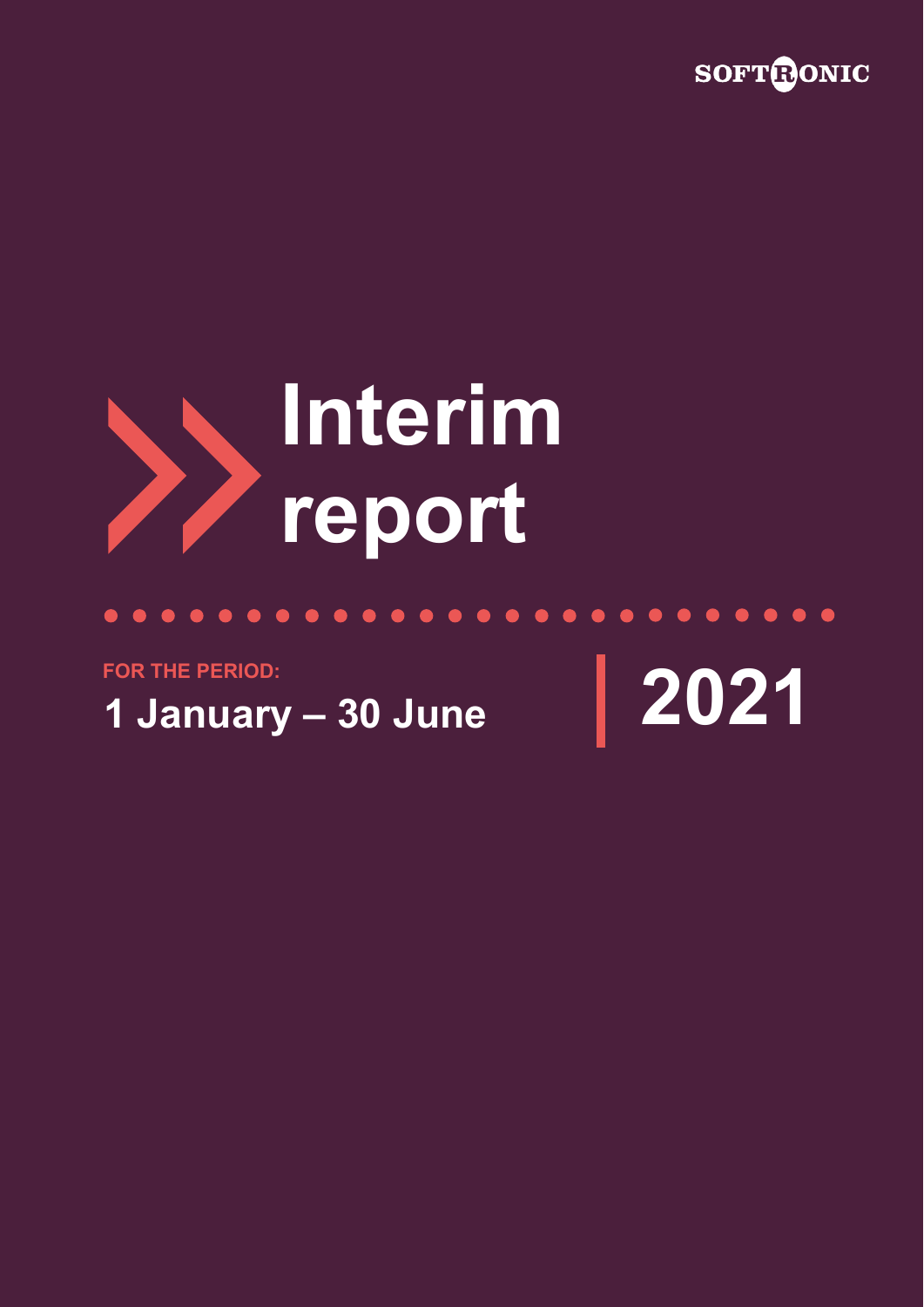



# $\bullet\hspace{0.2cm} \bullet\hspace{0.2cm} \bullet\hspace{0.2cm} \bullet\hspace{0.2cm} \bullet\hspace{0.2cm} \bullet\hspace{0.2cm} \bullet\hspace{0.2cm} \bullet$  $\bullet$ **FOR THE PERIOD:1 January – 30 June 2021**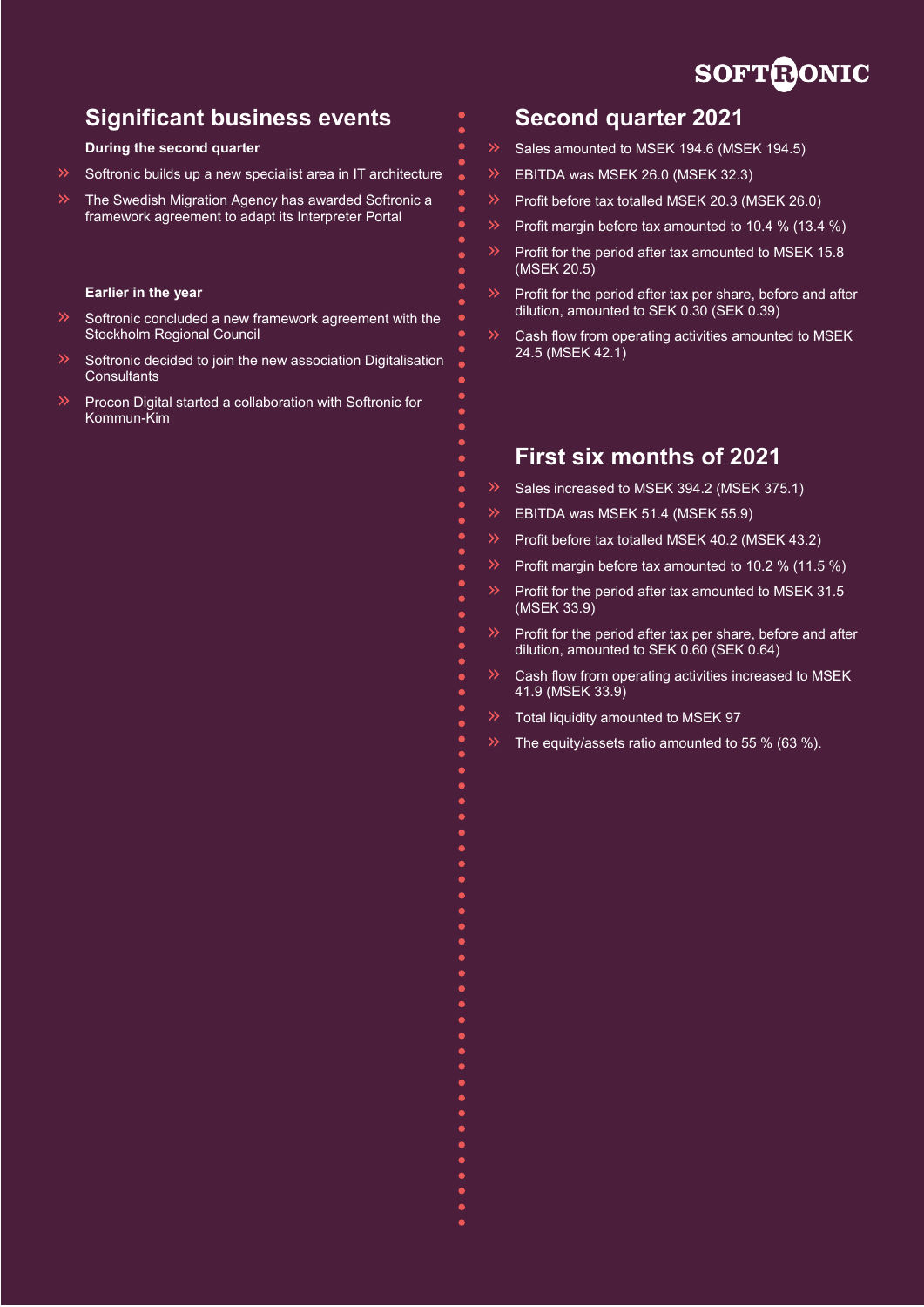# **SOFTRONIC**

# **Significant business events**

### **During the second quarter**

- Softronic builds up a new specialist area in IT architecture
- The Swedish Migration Agency has awarded Softronic a framework agreement to adapt its Interpreter Portal

### **Earlier in the year**

- $\rightarrow$ Softronic concluded a new framework agreement with the Stockholm Regional Council
- Softronic decided to join the new association Digitalisation **Consultants**
- Procon Digital started a collaboration with Softronic for Kommun-Kim

# **Second quarter 2021**

- Sales amounted to MSEK 194.6 (MSEK 194.5)
- EBITDA was MSEK 26.0 (MSEK 32.3)
- Profit before tax totalled MSEK 20.3 (MSEK 26.0)
- Profit margin before tax amounted to 10.4 % (13.4 %)
- Profit for the period after tax amounted to MSEK 15.8 (MSEK 20.5)
- $\mathbf{v}$ Profit for the period after tax per share, before and after dilution, amounted to SEK 0.30 (SEK 0.39)
- Cash flow from operating activities amounted to MSEK 24.5 (MSEK 42.1)

## **First six months of 2021**

- Sales increased to MSEK 394.2 (MSEK 375.1)
- EBITDA was MSEK 51.4 (MSEK 55.9)
- Profit before tax totalled MSEK 40.2 (MSEK 43.2)
- Profit margin before tax amounted to 10.2 % (11.5 %)
- Profit for the period after tax amounted to MSEK 31.5 (MSEK 33.9)
- Profit for the period after tax per share, before and after dilution, amounted to SEK 0.60 (SEK 0.64)
- Cash flow from operating activities increased to MSEK 41.9 (MSEK 33.9)
- Total liquidity amounted to MSEK 97
- The equity/assets ratio amounted to 55 % (63 %).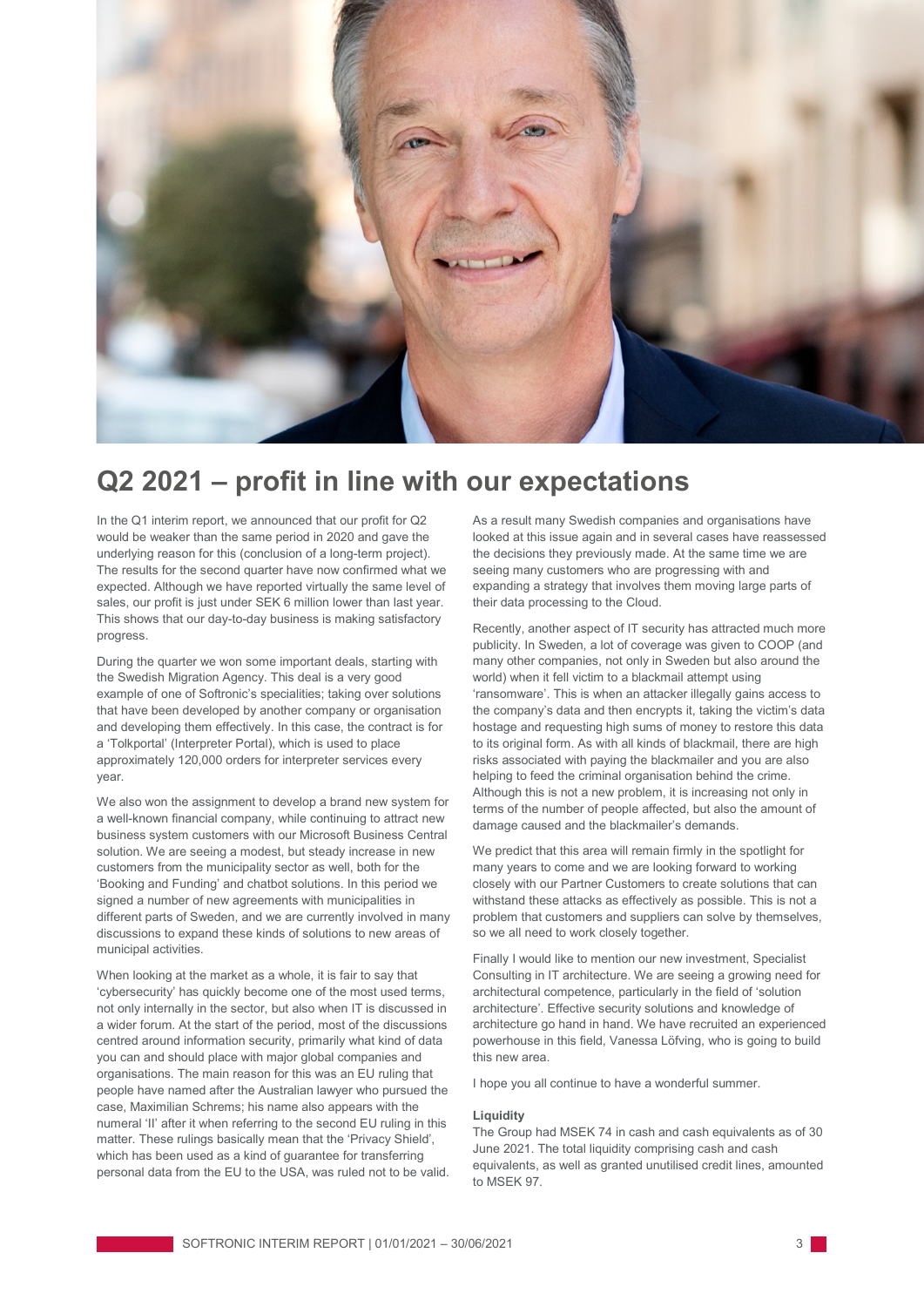

# **Q2 2021 – profit in line with our expectations**

In the Q1 interim report, we announced that our profit for Q2 would be weaker than the same period in 2020 and gave the underlying reason for this (conclusion of a long-term project). The results for the second quarter have now confirmed what we expected. Although we have reported virtually the same level of sales, our profit is just under SEK 6 million lower than last year. This shows that our day-to-day business is making satisfactory progress.

During the quarter we won some important deals, starting with the Swedish Migration Agency. This deal is a very good example of one of Softronic's specialities; taking over solutions that have been developed by another company or organisation and developing them effectively. In this case, the contract is for a 'Tolkportal' (Interpreter Portal), which is used to place approximately 120,000 orders for interpreter services every year.

We also won the assignment to develop a brand new system for a well-known financial company, while continuing to attract new business system customers with our Microsoft Business Central solution. We are seeing a modest, but steady increase in new customers from the municipality sector as well, both for the 'Booking and Funding' and chatbot solutions. In this period we signed a number of new agreements with municipalities in different parts of Sweden, and we are currently involved in many discussions to expand these kinds of solutions to new areas of municipal activities.

When looking at the market as a whole, it is fair to say that 'cybersecurity' has quickly become one of the most used terms, not only internally in the sector, but also when IT is discussed in a wider forum. At the start of the period, most of the discussions centred around information security, primarily what kind of data you can and should place with major global companies and organisations. The main reason for this was an EU ruling that people have named after the Australian lawyer who pursued the case, Maximilian Schrems; his name also appears with the numeral 'II' after it when referring to the second EU ruling in this matter. These rulings basically mean that the 'Privacy Shield', which has been used as a kind of guarantee for transferring personal data from the EU to the USA, was ruled not to be valid. As a result many Swedish companies and organisations have looked at this issue again and in several cases have reassessed the decisions they previously made. At the same time we are seeing many customers who are progressing with and expanding a strategy that involves them moving large parts of their data processing to the Cloud.

Recently, another aspect of IT security has attracted much more publicity. In Sweden, a lot of coverage was given to COOP (and many other companies, not only in Sweden but also around the world) when it fell victim to a blackmail attempt using 'ransomware'. This is when an attacker illegally gains access to the company's data and then encrypts it, taking the victim's data hostage and requesting high sums of money to restore this data to its original form. As with all kinds of blackmail, there are high risks associated with paying the blackmailer and you are also helping to feed the criminal organisation behind the crime. Although this is not a new problem, it is increasing not only in terms of the number of people affected, but also the amount of damage caused and the blackmailer's demands.

We predict that this area will remain firmly in the spotlight for many years to come and we are looking forward to working closely with our Partner Customers to create solutions that can withstand these attacks as effectively as possible. This is not a problem that customers and suppliers can solve by themselves, so we all need to work closely together.

Finally I would like to mention our new investment, Specialist Consulting in IT architecture. We are seeing a growing need for architectural competence, particularly in the field of 'solution architecture'. Effective security solutions and knowledge of architecture go hand in hand. We have recruited an experienced powerhouse in this field, Vanessa Löfving, who is going to build this new area.

I hope you all continue to have a wonderful summer.

#### **Liquidity**

The Group had MSEK 74 in cash and cash equivalents as of 30 June 2021. The total liquidity comprising cash and cash equivalents, as well as granted unutilised credit lines, amounted to MSEK 97.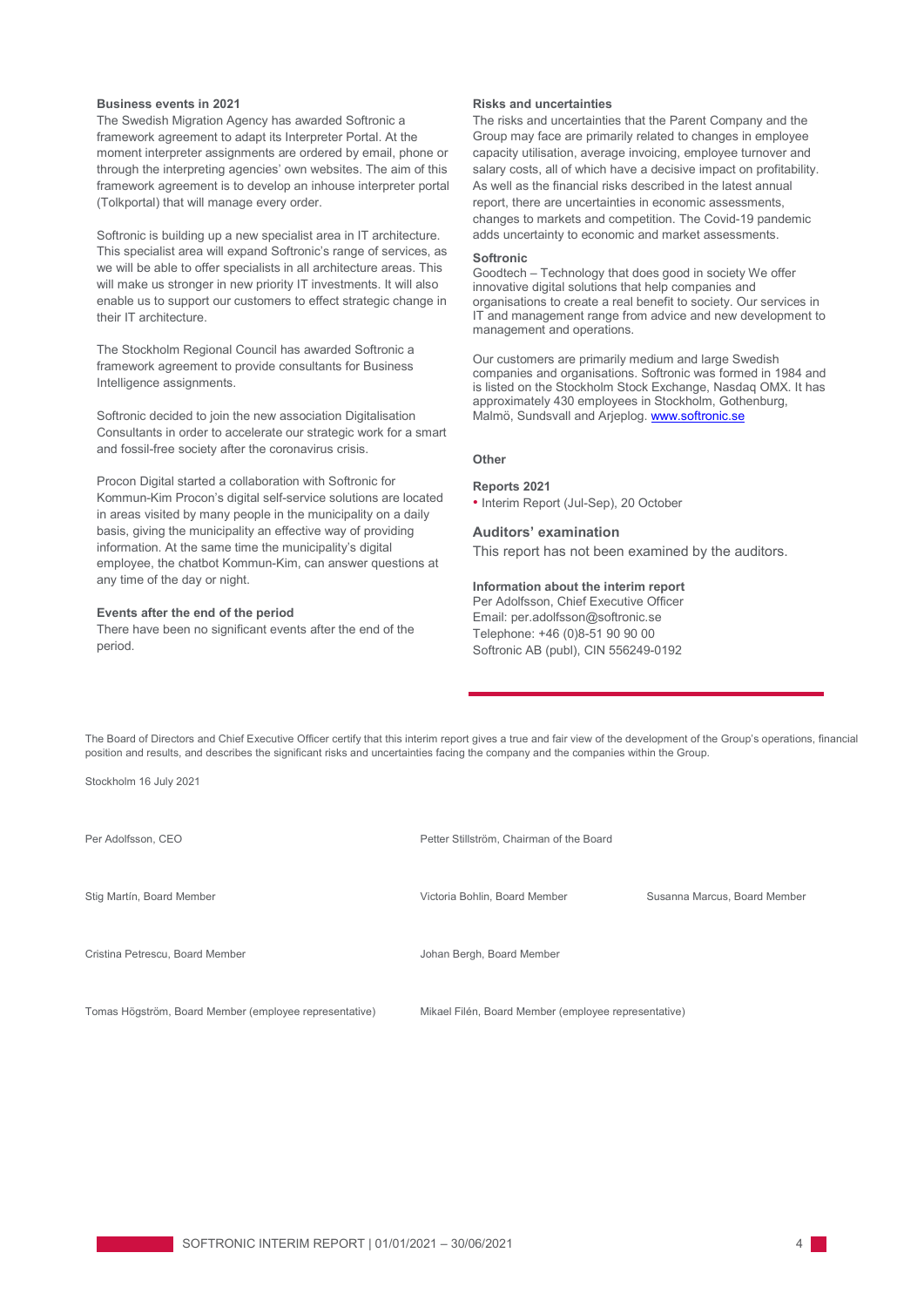#### **Business events in 2021**

The Swedish Migration Agency has awarded Softronic a framework agreement to adapt its Interpreter Portal. At the moment interpreter assignments are ordered by email, phone or through the interpreting agencies' own websites. The aim of this framework agreement is to develop an inhouse interpreter portal (Tolkportal) that will manage every order.

Softronic is building up a new specialist area in IT architecture. This specialist area will expand Softronic's range of services, as we will be able to offer specialists in all architecture areas. This will make us stronger in new priority IT investments. It will also enable us to support our customers to effect strategic change in their IT architecture.

The Stockholm Regional Council has awarded Softronic a framework agreement to provide consultants for Business Intelligence assignments.

Softronic decided to join the new association Digitalisation Consultants in order to accelerate our strategic work for a smart and fossil-free society after the coronavirus crisis.

Procon Digital started a collaboration with Softronic for Kommun-Kim Procon's digital self-service solutions are located in areas visited by many people in the municipality on a daily basis, giving the municipality an effective way of providing information. At the same time the municipality's digital employee, the chatbot Kommun-Kim, can answer questions at any time of the day or night.

#### **Events after the end of the period**

There have been no significant events after the end of the period.

#### **Risks and uncertainties**

The risks and uncertainties that the Parent Company and the Group may face are primarily related to changes in employee capacity utilisation, average invoicing, employee turnover and salary costs, all of which have a decisive impact on profitability. As well as the financial risks described in the latest annual report, there are uncertainties in economic assessments, changes to markets and competition. The Covid-19 pandemic adds uncertainty to economic and market assessments.

#### **Softronic**

Goodtech – Technology that does good in society We offer innovative digital solutions that help companies and organisations to create a real benefit to society. Our services in IT and management range from advice and new development to management and operations.

Our customers are primarily medium and large Swedish companies and organisations. Softronic was formed in 1984 and is listed on the Stockholm Stock Exchange, Nasdaq OMX. It has approximately 430 employees in Stockholm, Gothenburg, Malmö, Sundsvall and Arjeplog[. www.softronic.se](http://www.softronic.se/)

#### **Other**

#### **Reports 2021**

• Interim Report (Jul-Sep), 20 October

#### **Auditors' examination**

This report has not been examined by the auditors.

#### **Information about the interim report**

Per Adolfsson, Chief Executive Officer Email: per.adolfsson@softronic.se Telephone: +46 (0)8-51 90 90 00 Softronic AB (publ), CIN 556249-0192

The Board of Directors and Chief Executive Officer certify that this interim report gives a true and fair view of the development of the Group's operations, financial position and results, and describes the significant risks and uncertainties facing the company and the companies within the Group.

Stockholm 16 July 2021

| Per Adolfsson, CEO                                     | Petter Stillström, Chairman of the Board             |                              |
|--------------------------------------------------------|------------------------------------------------------|------------------------------|
| Stig Martín, Board Member                              | Victoria Bohlin, Board Member                        | Susanna Marcus, Board Member |
| Cristina Petrescu, Board Member                        | Johan Bergh, Board Member                            |                              |
| Tomas Högström, Board Member (employee representative) | Mikael Filén, Board Member (employee representative) |                              |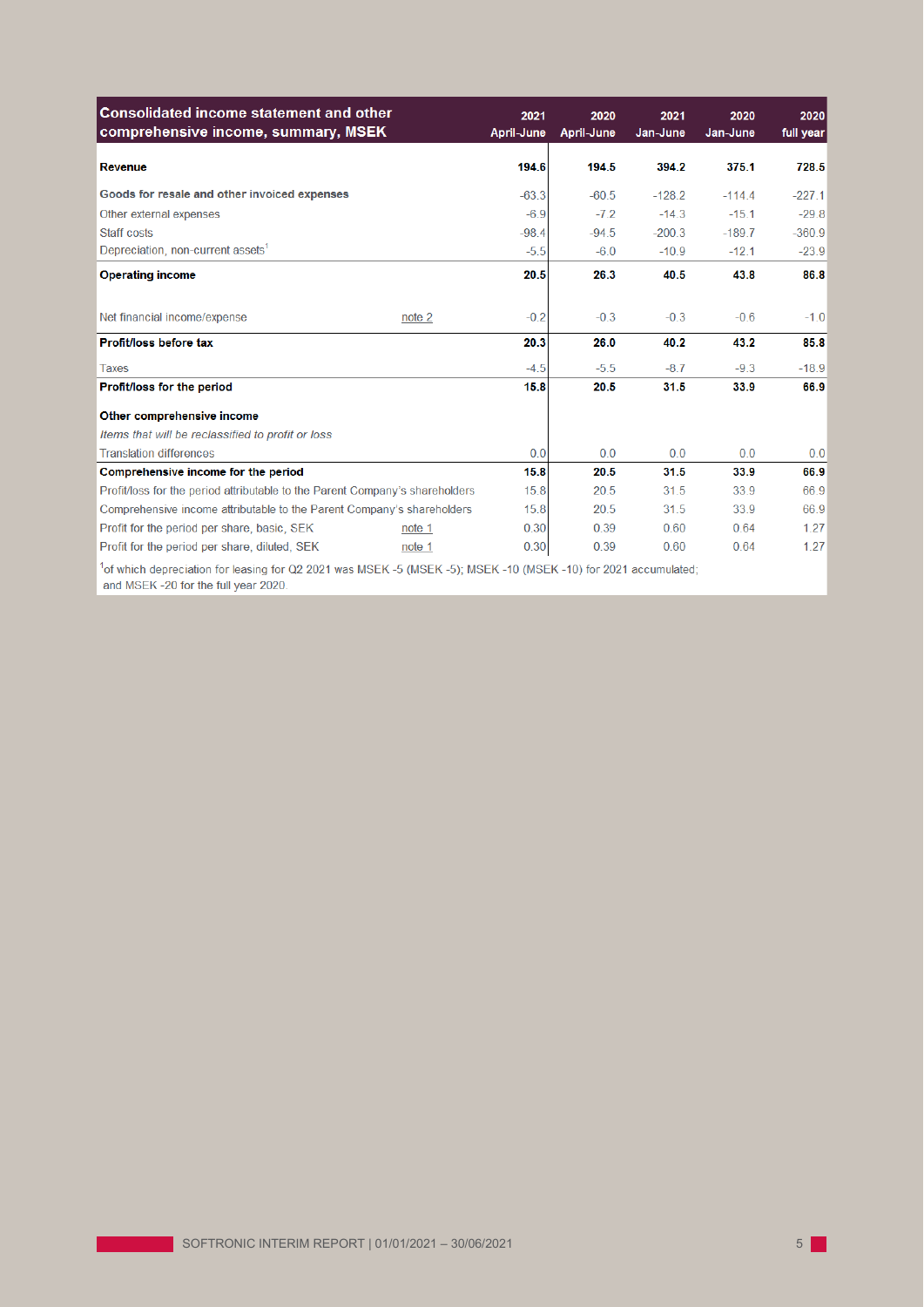| <b>Consolidated income statement and other</b><br>comprehensive income, summary, MSEK                                                                 |        | 2021<br>April-June | 2020<br>April-June | 2021<br>Jan-June | 2020<br>Jan-June | 2020<br>full year |
|-------------------------------------------------------------------------------------------------------------------------------------------------------|--------|--------------------|--------------------|------------------|------------------|-------------------|
| <b>Revenue</b>                                                                                                                                        |        | 194.6              | 194.5              | 394.2            | 375.1            | 728.5             |
| Goods for resale and other invoiced expenses                                                                                                          |        | $-63.3$            | $-60.5$            | $-128.2$         | $-114.4$         | $-227.1$          |
| Other external expenses                                                                                                                               |        | $-6.9$             | $-7.2$             | $-14.3$          | $-15.1$          | $-29.8$           |
| Staff costs                                                                                                                                           |        | $-98.4$            | $-94.5$            | $-200.3$         | $-189.7$         | $-360.9$          |
| Depreciation, non-current assets <sup>1</sup>                                                                                                         |        | $-5.5$             | $-6.0$             | $-10.9$          | $-12.1$          | $-23.9$           |
| <b>Operating income</b>                                                                                                                               |        | 20.5               | 26.3               | 40.5             | 43.8             | 86.8              |
| Net financial income/expense                                                                                                                          | note 2 | $-0.2$             | $-0.3$             | $-0.3$           | $-0.6$           | $-1.0$            |
| Profit/loss before tax                                                                                                                                |        | 20.3               | 26.0               | 40.2             | 43.2             | 85.8              |
| <b>Taxes</b>                                                                                                                                          |        | $-4.5$             | $-5.5$             | $-8.7$           | $-9.3$           | $-18.9$           |
| Profit/loss for the period                                                                                                                            |        | 15.8               | 20.5               | 31.5             | 33.9             | 66.9              |
| Other comprehensive income                                                                                                                            |        |                    |                    |                  |                  |                   |
| Items that will be reclassified to profit or loss                                                                                                     |        |                    |                    |                  |                  |                   |
| <b>Translation differences</b>                                                                                                                        |        | 0.0                | 0.0                | 0.0              | 0.0              | 0.0               |
| Comprehensive income for the period                                                                                                                   |        | 15.8               | 20.5               | 31.5             | 33.9             | 66.9              |
| Profit/loss for the period attributable to the Parent Company's shareholders                                                                          |        | 15.8               | 20.5               | 31.5             | 33.9             | 66.9              |
| Comprehensive income attributable to the Parent Company's shareholders                                                                                |        | 15.8               | 20.5               | 31.5             | 33.9             | 66.9              |
| Profit for the period per share, basic, SEK                                                                                                           | note 1 | 0.30               | 0.39               | 0.60             | 0.64             | 1.27              |
| Profit for the period per share, diluted, SEK                                                                                                         | note 1 | 0.30               | 0.39               | 0.60             | 0.64             | 1.27              |
| of which depreciation for leasing for Q2 2021 was MSEK -5 (MSEK -5); MSEK -10 (MSEK -10) for 2021 accumulated;<br>and MSEK-20 for the full year 2020. |        |                    |                    |                  |                  |                   |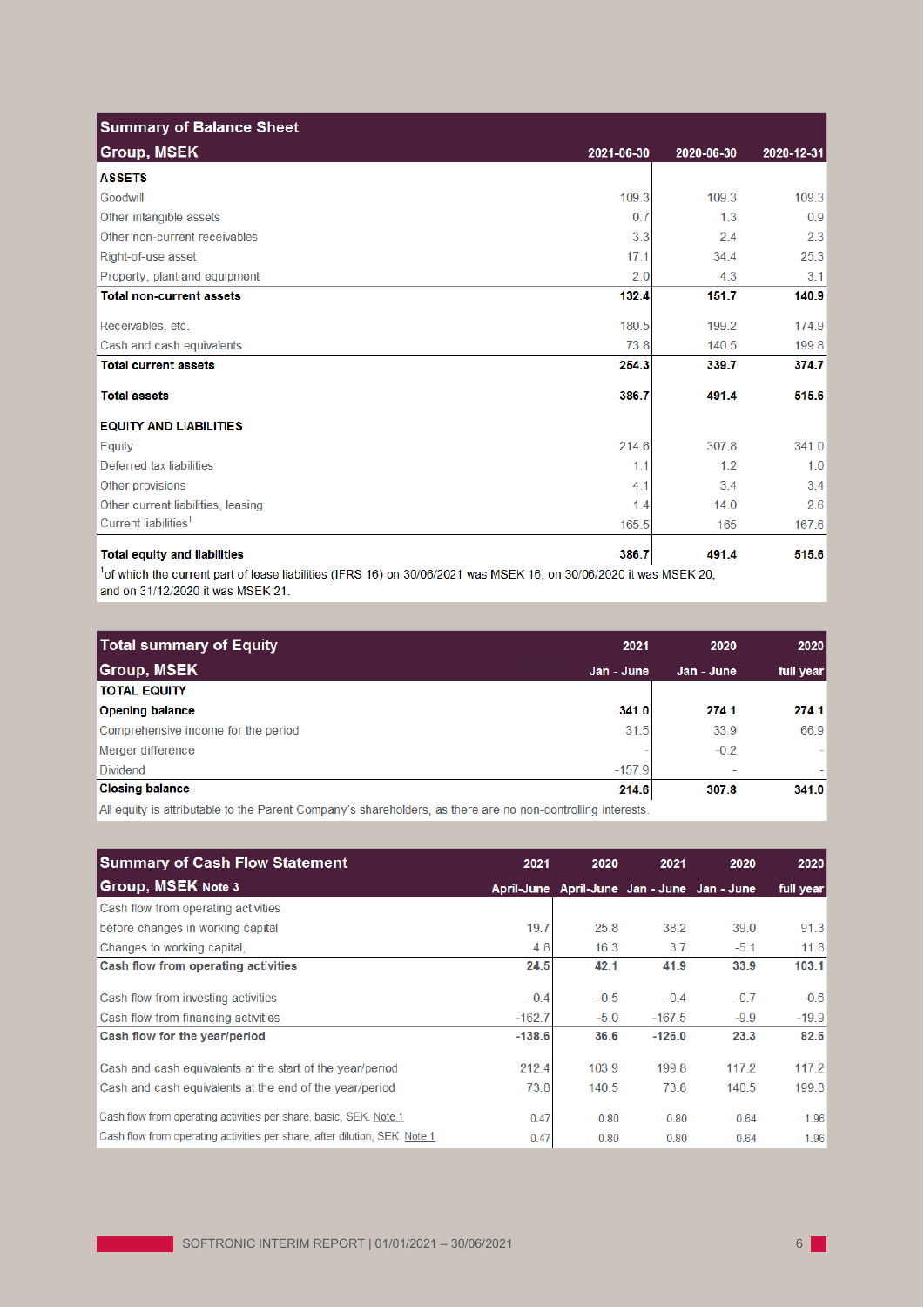| <b>Summary of Balance Sheet</b>     |            |            |            |
|-------------------------------------|------------|------------|------------|
| <b>Group, MSEK</b>                  | 2021-06-30 | 2020-06-30 | 2020-12-31 |
| <b>ASSETS</b>                       |            |            |            |
| Goodwill                            | 109.3      | 109.3      | 109.3      |
| Other intangible assets             | 0.7        | 1.3        | 0.9        |
| Other non-current receivables       | 3.3        | 2.4        | 2.3        |
| Right-of-use asset                  | 17.1       | 34.4       | 25.3       |
| Property, plant and equipment       | 2.0        | 4.3        | 3.1        |
| <b>Total non-current assets</b>     | 132.4      | 151.7      | 140.9      |
| Receivables, etc.                   | 180.5      | 199.2      | 174.9      |
| Cash and cash equivalents           | 73.8       | 140.5      | 199.8      |
| <b>Total current assets</b>         | 254.3      | 339.7      | 374.7      |
| <b>Total assets</b>                 | 386.7      | 491.4      | 515.6      |
| <b>EQUITY AND LIABILITIES</b>       |            |            |            |
| Equity                              | 214.6      | 307.8      | 341.0      |
| Deferred tax liabilities            | 1.1        | 1.2        | 1.0        |
| Other provisions                    | 4.1        | 3.4        | 3.4        |
| Other current liabilities, leasing  | 1.4        | 14.0       | 2.6        |
| Current liabilities <sup>1</sup>    | 165.5      | 165        | 167.6      |
| <b>Total equity and liabilities</b> | 386.7      | 491.4      | 515.6      |

<sup>1</sup>of which the current part of lease liabilities (IFRS 16) on 30/06/2021 was MSEK 16, on 30/06/2020 it was MSEK 20, and on 31/12/2020 it was MSEK 21.

| Total summary of Equity                                                                                                                                                                                                                | 2021       | 2020                     | 2020      |
|----------------------------------------------------------------------------------------------------------------------------------------------------------------------------------------------------------------------------------------|------------|--------------------------|-----------|
| <b>Group, MSEK</b>                                                                                                                                                                                                                     | Jan - June | Jan - June               | full year |
| <b>TOTAL EQUITY</b>                                                                                                                                                                                                                    |            |                          |           |
| <b>Opening balance</b>                                                                                                                                                                                                                 | 341.0      | 274.1                    | 274.1     |
| Comprehensive income for the period                                                                                                                                                                                                    | 31.5       | 33.9                     | 66.9      |
| Merger difference                                                                                                                                                                                                                      |            | $-0.2$                   | ÷         |
| <b>Dividend</b>                                                                                                                                                                                                                        | $-157.9$   | $\overline{\phantom{a}}$ |           |
| <b>Closing balance</b>                                                                                                                                                                                                                 | 214.6      | 307.8                    | 341.0     |
| $\mathbf{A} \mathbf{B}$ , and the state of the state of the state of the state of the state of the state of the state of the state of the state of the state of the state of the state of the state of the state of the state of the s | $-$        |                          |           |

All equity is attributable to the Parent Company's shareholders, as there are no non-controlling interests.

| <b>Summary of Cash Flow Statement</b>                                      | 2021     | 2020                                        | 2021     | 2020   | 2020      |
|----------------------------------------------------------------------------|----------|---------------------------------------------|----------|--------|-----------|
| Group, MSEK Note 3                                                         |          | April-June April-June Jan - June Jan - June |          |        | full year |
| Cash flow from operating activities                                        |          |                                             |          |        |           |
| before changes in working capital                                          | 19.7     | 25.8                                        | 38.2     | 39.0   | 91.3      |
| Changes to working capital.                                                | 4.8      | 16.3                                        | 3.7      | $-5.1$ | 11.8      |
| Cash flow from operating activities                                        | 24.5     | 42.1                                        | 41.9     | 33.9   | 103.1     |
| Cash flow from investing activities                                        | $-0.4$   | $-0.5$                                      | $-0.4$   | $-0.7$ | $-0.6$    |
| Cash flow from financing activities                                        | $-162.7$ | $-5.0$                                      | $-167.5$ | $-9.9$ | $-19.9$   |
| Cash flow for the year/period                                              | $-138.6$ | 36.6                                        | $-126.0$ | 23.3   | 82.6      |
| Cash and cash equivalents at the start of the year/period                  | 212.4    | 103.9                                       | 199.8    | 117.2  | 117.2     |
| Cash and cash equivalents at the end of the year/period                    | 73.8     | 140.5                                       | 73.8     | 140.5  | 199.8     |
| Cash flow from operating activities per share, basic, SEK. Note 1          | 0.47     | 0.80                                        | 0.80     | 0.64   | 1.96      |
| Cash flow from operating activities per share, after dilution, SEK. Note 1 | 0.47     | 0.80                                        | 0.80     | 0.64   | 1.96      |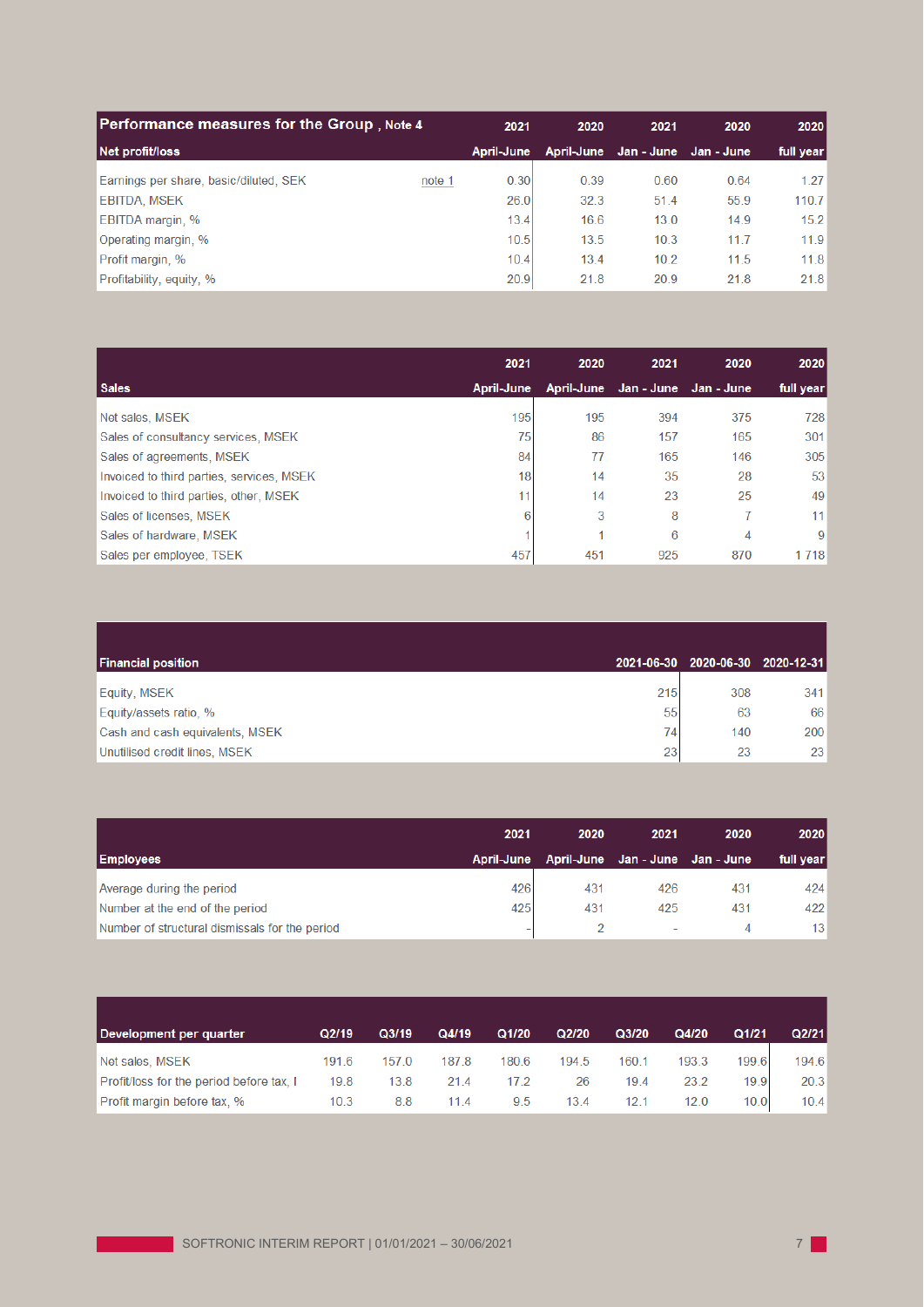| Performance measures for the Group, Note 4       |            | 2021<br>2020 | 2021                  | 2020 | 2020      |
|--------------------------------------------------|------------|--------------|-----------------------|------|-----------|
| Net profit/loss                                  | April-June | April-June   | Jan - June Jan - June |      | full year |
| Earnings per share, basic/diluted, SEK<br>note 1 | 0.30       | 0.39         | 0.60                  | 0.64 | 1.27      |
| <b>EBITDA, MSEK</b>                              | 26.0       | 32.3         | 51.4                  | 55.9 | 110.7     |
| <b>EBITDA margin, %</b>                          | 13.4       | 16.6         | 13.0                  | 14.9 | 15.2      |
| Operating margin, %                              | 10.5       | 13.5         | 10.3                  | 11.7 | 11.9      |
| Profit margin, %                                 | 10.4       | 13.4         | 10.2                  | 11.5 | 11.8      |
| Profitability, equity, %                         | 20.9       | 21.8         | 20.9                  | 21.8 | 21.8      |

|                                           | 2021       | 2020 | 2021                             | 2020 | 2020      |
|-------------------------------------------|------------|------|----------------------------------|------|-----------|
| <b>Sales</b>                              | April-June |      | April-June Jan - June Jan - June |      | full year |
| Net sales, MSEK                           | 195        | 195  | 394                              | 375  | 728       |
| Sales of consultancy services, MSEK       | 75         | 86   | 157                              | 165  | 301       |
| Sales of agreements, MSEK                 | 84         | 77   | 165                              | 146  | 305       |
| Invoiced to third parties, services, MSEK | 18         | 14   | 35                               | 28   | 53        |
| Invoiced to third parties, other, MSEK    | 11         | 14   | 23                               | 25   | 49        |
| Sales of licenses, MSEK                   | 6          | 3    | 8                                | 7    | 11        |
| Sales of hardware, MSEK                   |            |      | 6                                | 4    | 9         |
| Sales per employee, TSEK                  | 457        | 451  | 925                              | 870  | 1 7 1 8   |

| <b>Financial position</b>       |     | 2021-06-30 2020-06-30 2020-12-31 |     |
|---------------------------------|-----|----------------------------------|-----|
| Equity, MSEK                    | 215 | 308                              | 341 |
| Equity/assets ratio, %          | 55  | 63                               | 66  |
| Cash and cash equivalents, MSEK | 74  | 140                              | 200 |
| Unutilised credit lines, MSEK   | 231 | 23                               | 23  |

|                                                | 2021       | 2020 | 2021                             | 2020 | 2020      |
|------------------------------------------------|------------|------|----------------------------------|------|-----------|
| <b>Employees</b>                               | April-June |      | April-June Jan - June Jan - June |      | full year |
| Average during the period                      | 426        | 431  | 426                              | 431  | 424       |
| Number at the end of the period                | 425        | 431  | 425                              | 431  | 422       |
| Number of structural dismissals for the period | -          |      |                                  | 4    | 13        |

| Development per quarter                  | Q2/19 | Q3/19 | Q4/19 | Q1/20 | Q2/20 | Q3/20 | Q4/20 | Q1/21 | Q2/21 |
|------------------------------------------|-------|-------|-------|-------|-------|-------|-------|-------|-------|
| Net sales, MSEK                          | 191.6 | 157 0 | 187.8 | 180.6 | 194.5 | 160.1 | 193.3 | 199.6 | 194.6 |
| Profit/loss for the period before tax. I | 19.8  | 13.8  | 21.4  | 17 2  | 26    | 19.4  | 23.2  | 19.9  | 20.3  |
| Profit margin before tax, %              | 10.3  | 8.8   | 114   | 9.5   | 13.4  | 12.1  | 12.0  | 10.0  | 10.4  |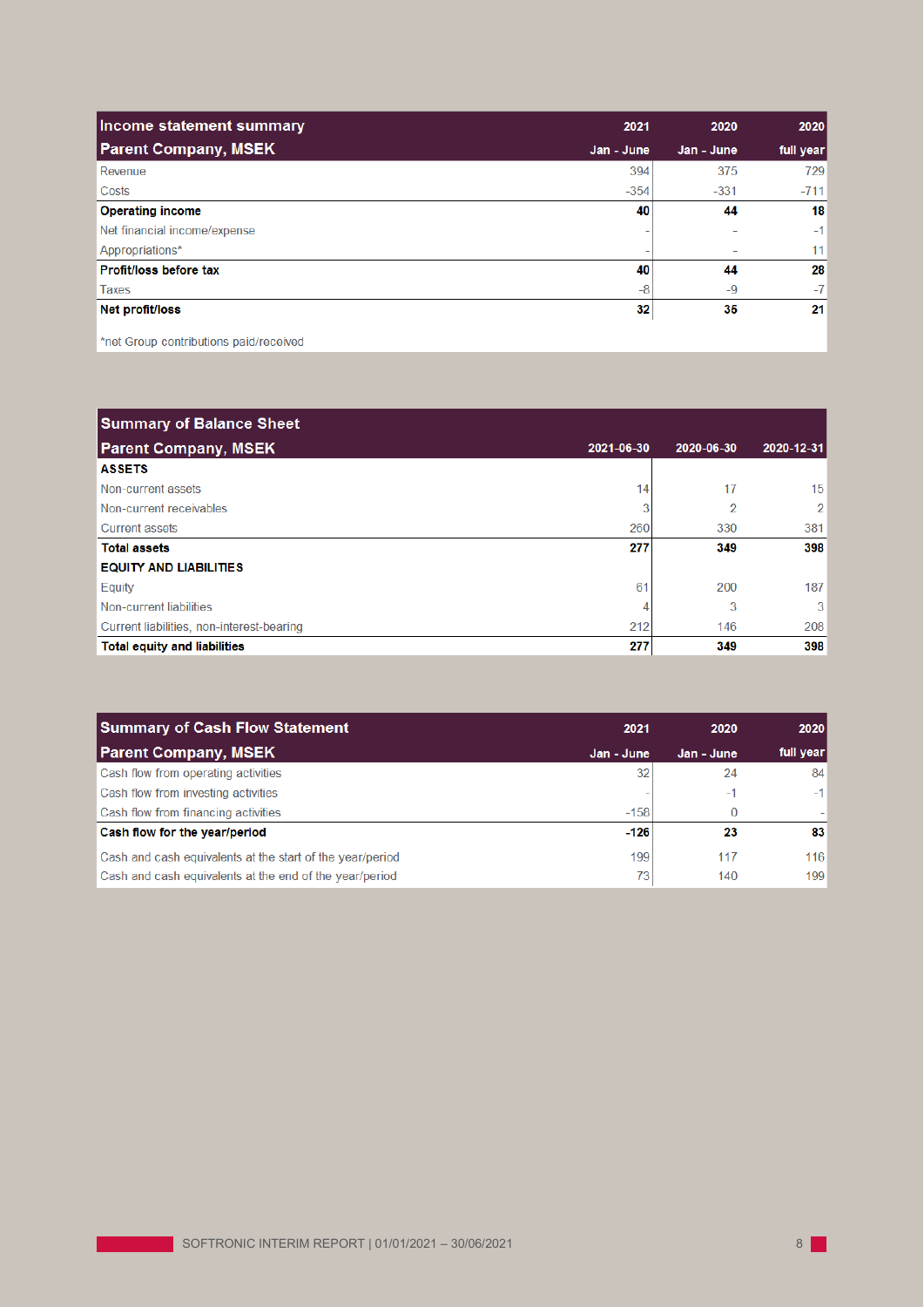| Income statement summary     | 2021       | 2020       | 2020      |
|------------------------------|------------|------------|-----------|
| <b>Parent Company, MSEK</b>  | Jan - June | Jan - June | full year |
| Revenue                      | 394        | 375        | 729       |
| Costs                        | $-354$     | $-331$     | $-711$    |
| <b>Operating income</b>      | 40         | 44         | 18        |
| Net financial income/expense |            |            | $-1$      |
| Appropriations*              |            |            | 11        |
| Profit/loss before tax       | 40         | 44         | 28        |
| <b>Taxes</b>                 | $-8$       | $-9$       | $-7$      |
| Net profit/loss              | 32         | 35         | 21        |

\*net Group contributions paid/received

| <b>Summary of Balance Sheet</b>           |            |            |                 |
|-------------------------------------------|------------|------------|-----------------|
| <b>Parent Company, MSEK</b>               | 2021-06-30 | 2020-06-30 | 2020-12-31      |
| <b>ASSETS</b>                             |            |            |                 |
| Non-current assets                        | 14         | 17         | 15 <sup>1</sup> |
| Non-current receivables                   | 3          | 2          | $\overline{2}$  |
| <b>Current assets</b>                     | 260        | 330        | 381             |
| <b>Total assets</b>                       | 277        | 349        | 398             |
| <b>EQUITY AND LIABILITIES</b>             |            |            |                 |
| Equity                                    | 61         | 200        | 187             |
| Non-current liabilities                   |            | 3          | 3               |
| Current liabilities, non-interest-bearing | 212        | 146        | 208             |
| <b>Total equity and liabilities</b>       | 277        | 349        | 398             |

| 2021       | 2020       | 2020       |
|------------|------------|------------|
| Jan - June | Jan - June | full year  |
| 32         | 24         | 84         |
|            | $-1$       | $-1$       |
| $-158$     |            |            |
| $-126$     | 23         | 83         |
| 199<br>73  | 117<br>140 | 116<br>199 |
|            |            |            |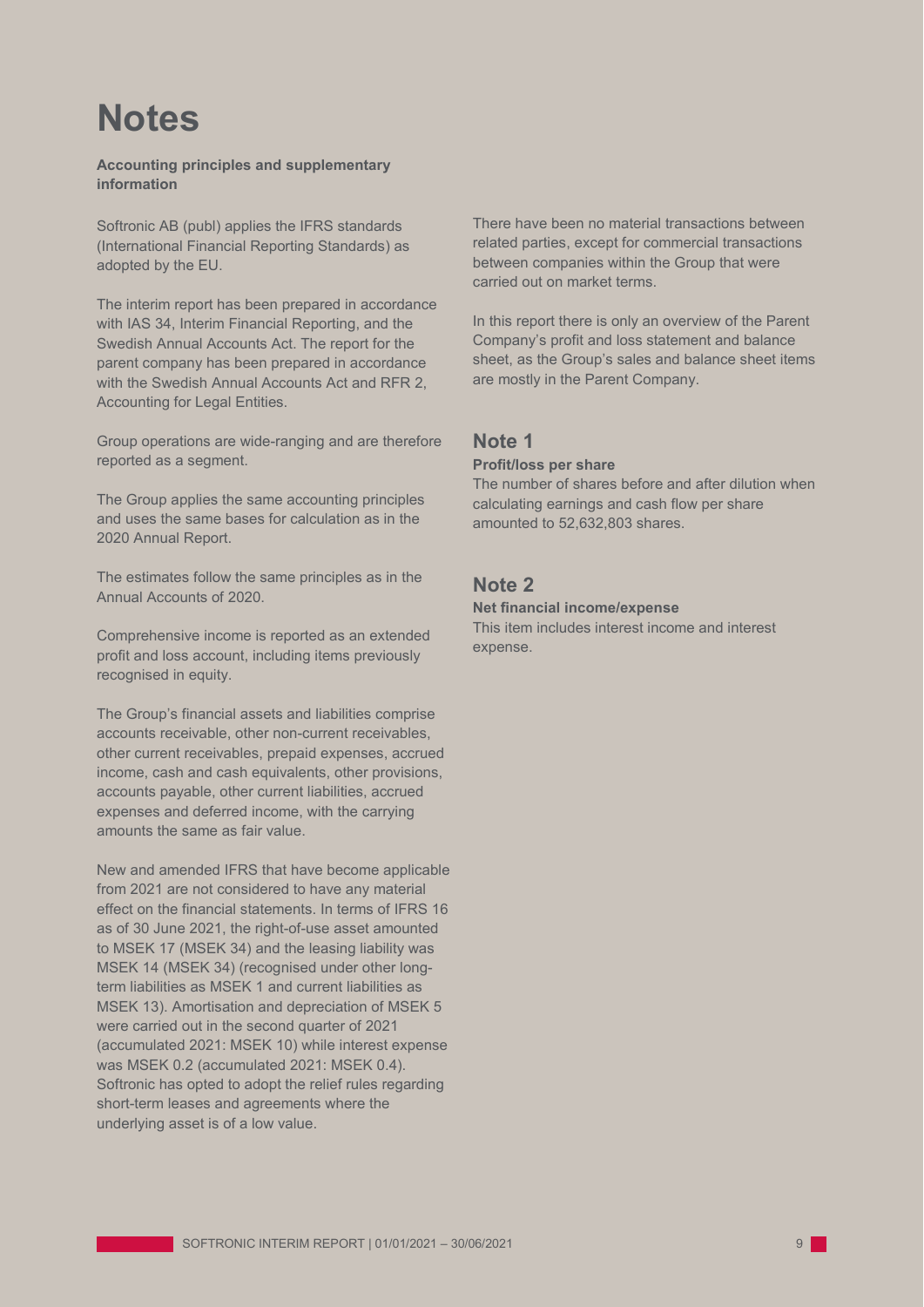# **Notes**

**Accounting principles and supplementary information**

Softronic AB (publ) applies the IFRS standards (International Financial Reporting Standards) as adopted by the EU.

The interim report has been prepared in accordance with IAS 34, Interim Financial Reporting, and the Swedish Annual Accounts Act. The report for the parent company has been prepared in accordance with the Swedish Annual Accounts Act and RFR 2, Accounting for Legal Entities.

Group operations are wide-ranging and are therefore reported as a segment.

The Group applies the same accounting principles and uses the same bases for calculation as in the 2020 Annual Report.

The estimates follow the same principles as in the Annual Accounts of 2020.

Comprehensive income is reported as an extended profit and loss account, including items previously recognised in equity.

The Group's financial assets and liabilities comprise accounts receivable, other non-current receivables, other current receivables, prepaid expenses, accrued income, cash and cash equivalents, other provisions, accounts payable, other current liabilities, accrued expenses and deferred income, with the carrying amounts the same as fair value.

New and amended IFRS that have become applicable from 2021 are not considered to have any material effect on the financial statements. In terms of IFRS 16 as of 30 June 2021, the right-of-use asset amounted to MSEK 17 (MSEK 34) and the leasing liability was MSEK 14 (MSEK 34) (recognised under other longterm liabilities as MSEK 1 and current liabilities as MSEK 13). Amortisation and depreciation of MSEK 5 were carried out in the second quarter of 2021 (accumulated 2021: MSEK 10) while interest expense was MSEK 0.2 (accumulated 2021: MSEK 0.4). Softronic has opted to adopt the relief rules regarding short-term leases and agreements where the underlying asset is of a low value.

There have been no material transactions between related parties, except for commercial transactions between companies within the Group that were carried out on market terms.

In this report there is only an overview of the Parent Company's profit and loss statement and balance sheet, as the Group's sales and balance sheet items are mostly in the Parent Company.

## **Note 1**

### **Profit/loss per share**

The number of shares before and after dilution when calculating earnings and cash flow per share amounted to 52,632,803 shares.

## **Note 2**

## **Net financial income/expense**

This item includes interest income and interest expense.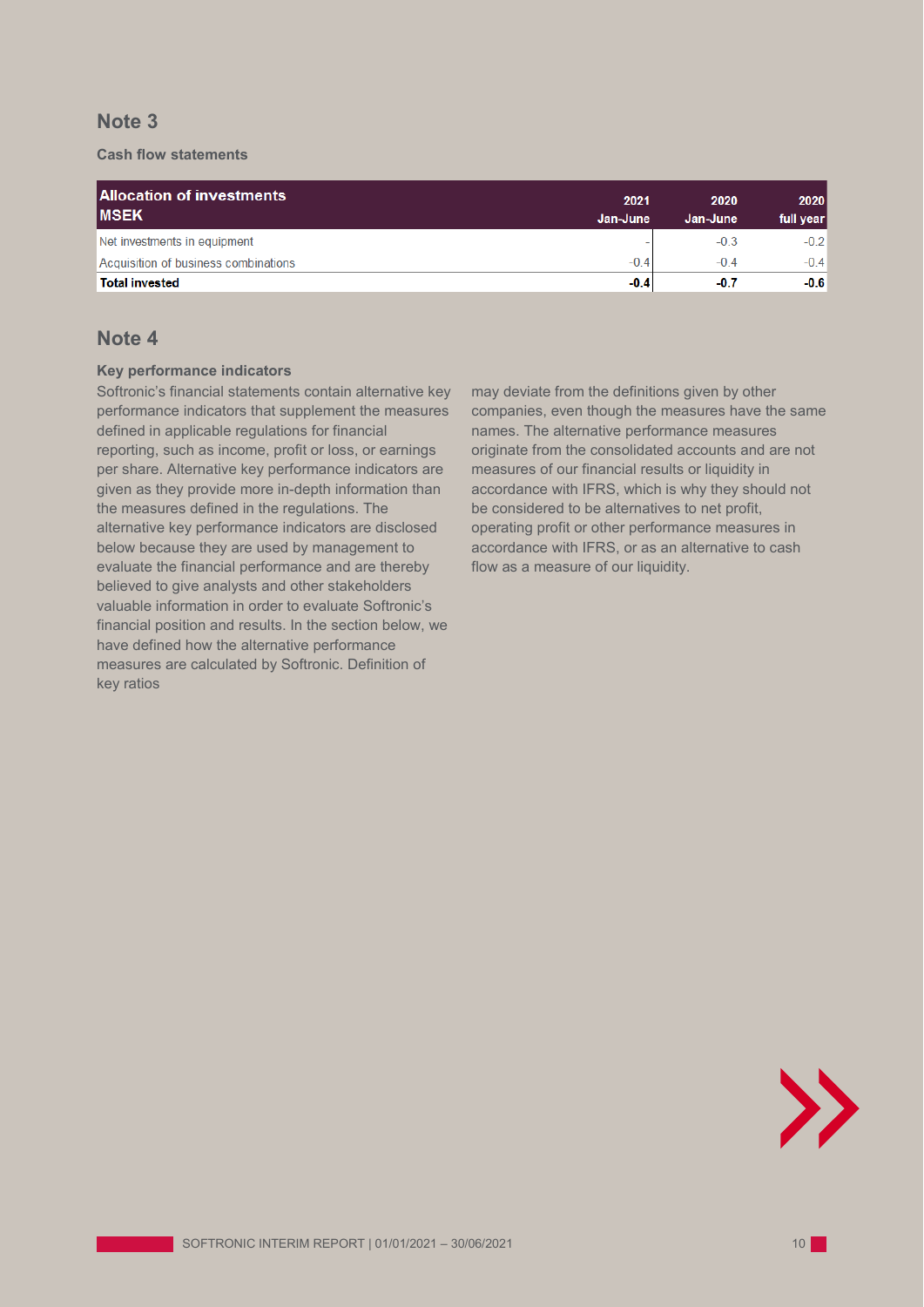## **Note 3**

## **Cash flow statements**

| <b>Allocation of investments</b><br><b>IMSEK</b> | 2021<br>Jan-June | 2020<br>Jan-June | 2020<br>full year |
|--------------------------------------------------|------------------|------------------|-------------------|
| Net investments in equipment                     |                  | $-0.3$           | $-0.2$            |
| Acquisition of business combinations             | $-0.4$           | $-0.4$           | $-0.4$            |
| <b>Total invested</b>                            | $-0.4$           | $-0.7$           | $-0.6$            |

## **Note 4**

### **Key performance indicators**

Softronic's financial statements contain alternative key performance indicators that supplement the measures defined in applicable regulations for financial reporting, such as income, profit or loss, or earnings per share. Alternative key performance indicators are given as they provide more in-depth information than the measures defined in the regulations. The alternative key performance indicators are disclosed below because they are used by management to evaluate the financial performance and are thereby believed to give analysts and other stakeholders valuable information in order to evaluate Softronic's financial position and results. In the section below, we have defined how the alternative performance measures are calculated by Softronic. Definition of key ratios

may deviate from the definitions given by other companies, even though the measures have the same names. The alternative performance measures originate from the consolidated accounts and are not measures of our financial results or liquidity in accordance with IFRS, which is why they should not be considered to be alternatives to net profit, operating profit or other performance measures in accordance with IFRS, or as an alternative to cash flow as a measure of our liquidity.

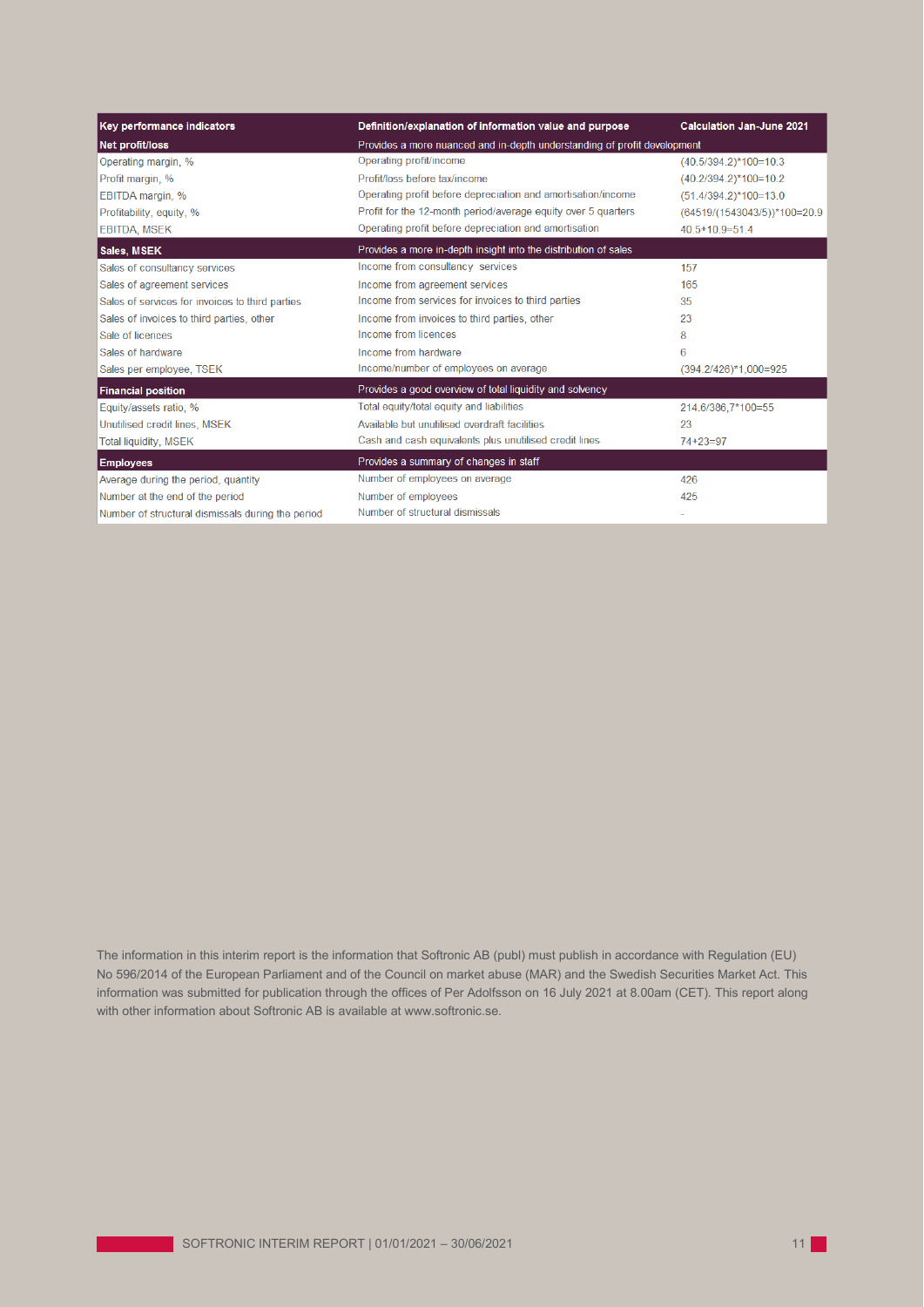| Key performance indicators                        | Definition/explanation of information value and purpose                  | <b>Calculation Jan-June 2021</b>     |  |  |
|---------------------------------------------------|--------------------------------------------------------------------------|--------------------------------------|--|--|
| Net profit/loss                                   | Provides a more nuanced and in-depth understanding of profit development |                                      |  |  |
| Operating margin, %                               | Operating profit/income                                                  | $(40.5/394.2)*100=10.3$              |  |  |
| Profit margin, %                                  | Profit/loss before tax/income                                            | $(40.2/394.2)$ *100=10.2             |  |  |
| EBITDA margin, %                                  | Operating profit before depreciation and amortisation/income             | $(51.4/394.2)*100=13.0$              |  |  |
| Profitability, equity, %                          | Profit for the 12-month period/average equity over 5 quarters            | $(64519/(1543043/5))$ *100=20.9      |  |  |
| <b>EBITDA, MSEK</b>                               | Operating profit before depreciation and amortisation                    | $40.5 + 10.9 = 51.4$                 |  |  |
| Sales, MSEK                                       | Provides a more in-depth insight into the distribution of sales          |                                      |  |  |
| Sales of consultancy services                     | Income from consultancy services                                         | 157                                  |  |  |
| Sales of agreement services                       | Income from agreement services                                           | 165                                  |  |  |
| Sales of services for invoices to third parties   | Income from services for invoices to third parties                       | 35                                   |  |  |
| Sales of invoices to third parties, other         | Income from invoices to third parties, other                             | 23                                   |  |  |
| Sale of licences                                  | Income from licences                                                     | 8                                    |  |  |
| Sales of hardware                                 | Income from hardware                                                     | 6                                    |  |  |
| Sales per employee, TSEK                          | Income/number of employees on average                                    | $(394.2/426)$ <sup>*</sup> 1,000=925 |  |  |
| <b>Financial position</b>                         | Provides a good overview of total liquidity and solvency                 |                                      |  |  |
| Equity/assets ratio, %                            | Total equity/total equity and liabilities                                | 214.6/386,7*100=55                   |  |  |
| Unutilised credit lines, MSEK                     | Available but unutilised overdraft facilities                            | 23                                   |  |  |
| <b>Total liquidity, MSEK</b>                      | Cash and cash equivalents plus unutilised credit lines                   | $74 + 23 = 97$                       |  |  |
| <b>Employees</b>                                  | Provides a summary of changes in staff                                   |                                      |  |  |
| Average during the period, quantity               | Number of employees on average                                           | 426                                  |  |  |
| Number at the end of the period                   | Number of employees                                                      | 425                                  |  |  |
| Number of structural dismissals during the period | Number of structural dismissals                                          |                                      |  |  |

The information in this interim report is the information that Softronic AB (publ) must publish in accordance with Regulation (EU) No 596/2014 of the European Parliament and of the Council on market abuse (MAR) and the Swedish Securities Market Act. This information was submitted for publication through the offices of Per Adolfsson on 16 July 2021 at 8.00am (CET). This report along with other information about Softronic AB is available at [www.softronic.se.](http://www.softronic.se/)